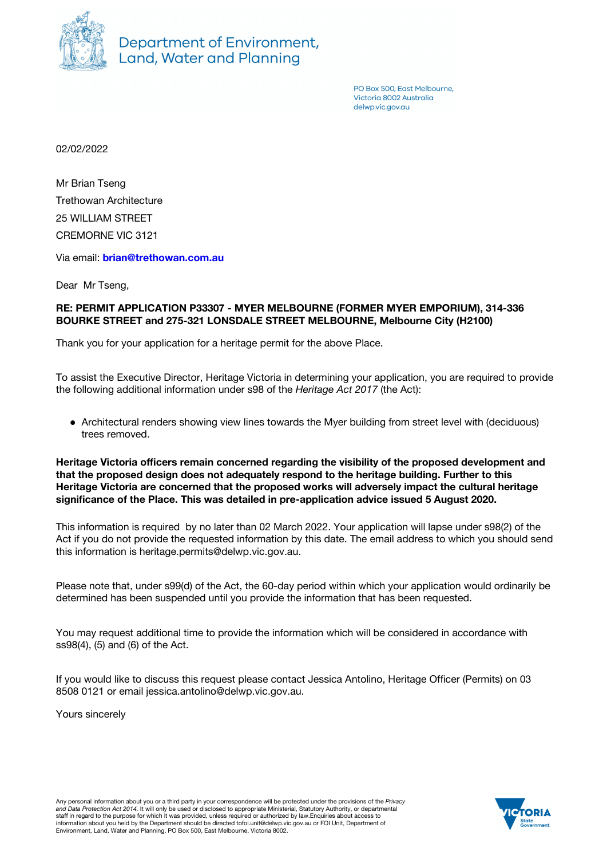

Department of Environment, Land, Water and Planning

> PO Box 500, East Melbourne. Victoria 8002 Australia delwp.vic.gov.gu

02/02/2022

Mr Brian Tseng Trethowan Architecture 25 WILLIAM STREET CREMORNE VIC 3121

Via email: **[brian@trethowan.com.au](mailto:brian@trethowan.com.au)**

Dear Mr Tseng,

## **RE: PERMIT APPLICATION P33307 - MYER MELBOURNE (FORMER MYER EMPORIUM), 314-336 BOURKE STREET and 275-321 LONSDALE STREET MELBOURNE, Melbourne City (H2100)**

Thank you for your application for a heritage permit for the above Place.

To assist the Executive Director, Heritage Victoria in determining your application, you are required to provide the following additional information under s98 of the *Heritage Act 2017* (the Act):

• Architectural renders showing view lines towards the Myer building from street level with (deciduous) trees removed.

**Heritage Victoria officers remain concerned regarding the visibility of the proposed development and that the proposed design does not adequately respond to the heritage building. Further to this Heritage Victoria are concerned that the proposed works will adversely impact the cultural heritage significance of the Place. This was detailed in pre-application advice issued 5 August 2020.**

This information is required by no later than 02 March 2022. Your application will lapse under s98(2) of the Act if you do not provide the requested information by this date. The email address to which you should send this information is heritage.permits@delwp.vic.gov.au.

Please note that, under s99(d) of the Act, the 60-day period within which your application would ordinarily be determined has been suspended until you provide the information that has been requested.

You may request additional time to provide the information which will be considered in accordance with ss98(4), (5) and (6) of the Act.

If you would like to discuss this request please contact Jessica Antolino, Heritage Officer (Permits) on 03 8508 0121 or email jessica.antolino@delwp.vic.gov.au.

Yours sincerely